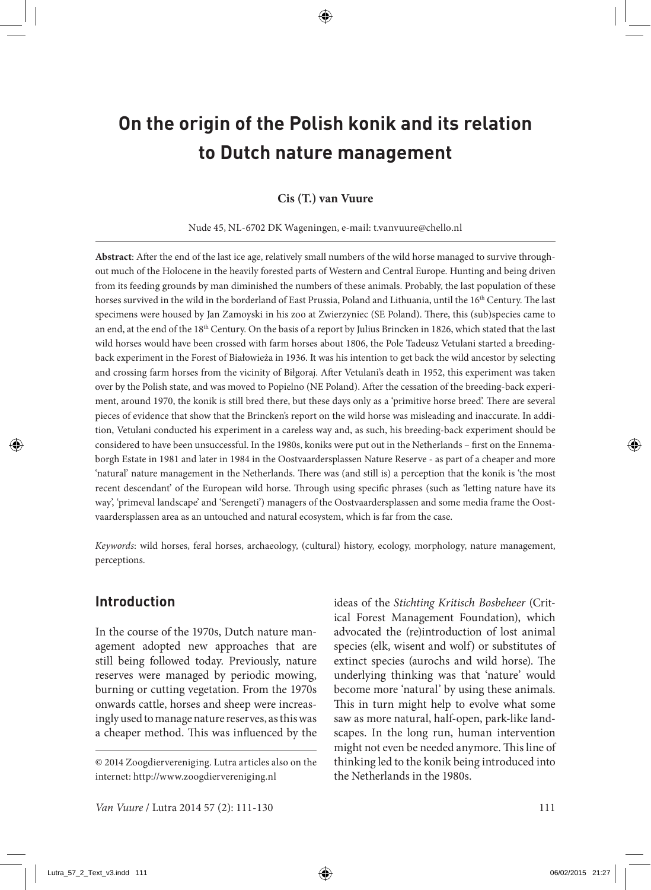# **On the origin of the Polish konik and its relation to Dutch nature management**

#### **Cis (T.) van Vuure**

#### Nude 45, NL-6702 DK Wageningen, e-mail: t.vanvuure@chello.nl

**Abstract**: After the end of the last ice age, relatively small numbers of the wild horse managed to survive throughout much of the Holocene in the heavily forested parts of Western and Central Europe. Hunting and being driven from its feeding grounds by man diminished the numbers of these animals. Probably, the last population of these horses survived in the wild in the borderland of East Prussia, Poland and Lithuania, until the 16<sup>th</sup> Century. The last specimens were housed by Jan Zamoyski in his zoo at Zwierzyniec (SE Poland). There, this (sub)species came to an end, at the end of the 18th Century. On the basis of a report by Julius Brincken in 1826, which stated that the last wild horses would have been crossed with farm horses about 1806, the Pole Tadeusz Vetulani started a breedingback experiment in the Forest of Białowieża in 1936. It was his intention to get back the wild ancestor by selecting and crossing farm horses from the vicinity of Biłgoraj. After Vetulani's death in 1952, this experiment was taken over by the Polish state, and was moved to Popielno (NE Poland). After the cessation of the breeding-back experiment, around 1970, the konik is still bred there, but these days only as a 'primitive horse breed'. There are several pieces of evidence that show that the Brincken's report on the wild horse was misleading and inaccurate. In addition, Vetulani conducted his experiment in a careless way and, as such, his breeding-back experiment should be considered to have been unsuccessful. In the 1980s, koniks were put out in the Netherlands – first on the Ennemaborgh Estate in 1981 and later in 1984 in the Oostvaardersplassen Nature Reserve - as part of a cheaper and more 'natural' nature management in the Netherlands. There was (and still is) a perception that the konik is 'the most recent descendant' of the European wild horse. Through using specific phrases (such as 'letting nature have its way', 'primeval landscape' and 'Serengeti') managers of the Oostvaardersplassen and some media frame the Oostvaardersplassen area as an untouched and natural ecosystem, which is far from the case.

*Keywords*: wild horses, feral horses, archaeology, (cultural) history, ecology, morphology, nature management, perceptions.

## **Introduction**

In the course of the 1970s, Dutch nature management adopted new approaches that are still being followed today. Previously, nature reserves were managed by periodic mowing, burning or cutting vegetation. From the 1970s onwards cattle, horses and sheep were increasingly used to manage nature reserves, as this was a cheaper method. This was influenced by the ideas of the *Stichting Kritisch Bosbeheer* (Critical Forest Management Foundation), which advocated the (re)introduction of lost animal species (elk, wisent and wolf) or substitutes of extinct species (aurochs and wild horse). The underlying thinking was that 'nature' would become more 'natural' by using these animals. This in turn might help to evolve what some saw as more natural, half-open, park-like landscapes. In the long run, human intervention might not even be needed anymore. This line of thinking led to the konik being introduced into the Netherlands in the 1980s.

<sup>© 2014</sup> Zoogdiervereniging. Lutra articles also on the internet: http://www.zoogdiervereniging.nl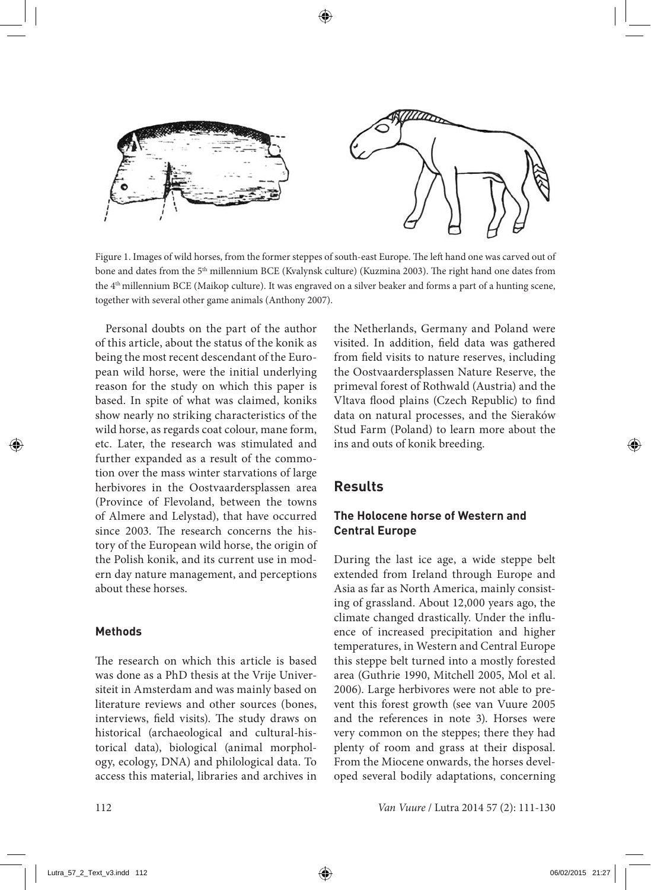

Figure 1. Images of wild horses, from the former steppes of south-east Europe. The left hand one was carved out of bone and dates from the 5<sup>th</sup> millennium BCE (Kvalynsk culture) (Kuzmina 2003). The right hand one dates from the 4<sup>th</sup> millennium BCE (Maikop culture). It was engraved on a silver beaker and forms a part of a hunting scene, together with several other game animals (Anthony 2007).

Personal doubts on the part of the author of this article, about the status of the konik as being the most recent descendant of the European wild horse, were the initial underlying reason for the study on which this paper is based. In spite of what was claimed, koniks show nearly no striking characteristics of the wild horse, as regards coat colour, mane form, etc. Later, the research was stimulated and further expanded as a result of the commotion over the mass winter starvations of large herbivores in the Oostvaardersplassen area (Province of Flevoland, between the towns of Almere and Lelystad), that have occurred since 2003. The research concerns the history of the European wild horse, the origin of the Polish konik, and its current use in modern day nature management, and perceptions about these horses.

#### **Methods**

The research on which this article is based was done as a PhD thesis at the Vrije Universiteit in Amsterdam and was mainly based on literature reviews and other sources (bones, interviews, field visits). The study draws on historical (archaeological and cultural-historical data), biological (animal morphology, ecology, DNA) and philological data. To access this material, libraries and archives in the Netherlands, Germany and Poland were visited. In addition, field data was gathered from field visits to nature reserves, including the Oostvaardersplassen Nature Reserve, the primeval forest of Rothwald (Austria) and the Vltava flood plains (Czech Republic) to find data on natural processes, and the Sieraków Stud Farm (Poland) to learn more about the ins and outs of konik breeding.

## **Results**

### **The Holocene horse of Western and Central Europe**

During the last ice age, a wide steppe belt extended from Ireland through Europe and Asia as far as North America, mainly consisting of grassland. About 12,000 years ago, the climate changed drastically. Under the influence of increased precipitation and higher temperatures, in Western and Central Europe this steppe belt turned into a mostly forested area (Guthrie 1990, Mitchell 2005, Mol et al. 2006). Large herbivores were not able to prevent this forest growth (see van Vuure 2005 and the references in note 3). Horses were very common on the steppes; there they had plenty of room and grass at their disposal. From the Miocene onwards, the horses developed several bodily adaptations, concerning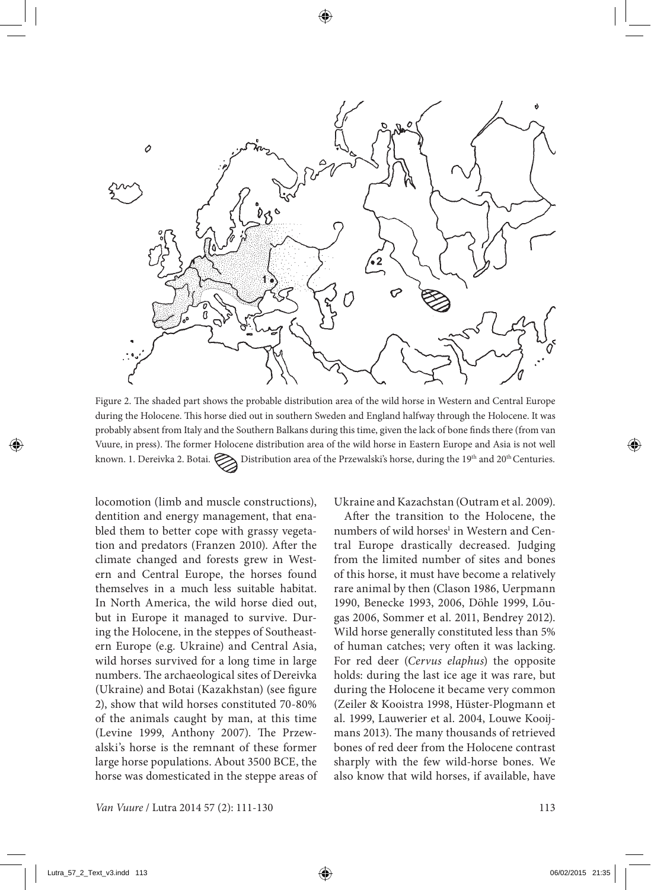

Figure 2. The shaded part shows the probable distribution area of the wild horse in Western and Central Europe during the Holocene. This horse died out in southern Sweden and England halfway through the Holocene. It was probably absent from Italy and the Southern Balkans during this time, given the lack of bone finds there (from van Vuure, in press). The former Holocene distribution area of the wild horse in Eastern Europe and Asia is not well known. 1. Dereivka 2. Botai.  $\sum$  Distribution area of the Przewalski's horse, during the 19<sup>th</sup> and 20<sup>th</sup> Centuries.

locomotion (limb and muscle constructions), dentition and energy management, that enabled them to better cope with grassy vegetation and predators (Franzen 2010). After the climate changed and forests grew in Western and Central Europe, the horses found themselves in a much less suitable habitat. In North America, the wild horse died out, but in Europe it managed to survive. During the Holocene, in the steppes of Southeastern Europe (e.g. Ukraine) and Central Asia, wild horses survived for a long time in large numbers. The archaeological sites of Dereivka (Ukraine) and Botai (Kazakhstan) (see figure 2), show that wild horses constituted 70-80% of the animals caught by man, at this time (Levine 1999, Anthony 2007). The Przewalski's horse is the remnant of these former large horse populations. About 3500 BCE, the horse was domesticated in the steppe areas of Ukraine and Kazachstan (Outram et al. 2009).

After the transition to the Holocene, the numbers of wild horses<sup>1</sup> in Western and Central Europe drastically decreased. Judging from the limited number of sites and bones of this horse, it must have become a relatively rare animal by then (Clason 1986, Uerpmann 1990, Benecke 1993, 2006, Döhle 1999, Lõugas 2006, Sommer et al. 2011, Bendrey 2012). Wild horse generally constituted less than 5% of human catches; very often it was lacking. For red deer (*Cervus elaphus*) the opposite holds: during the last ice age it was rare, but during the Holocene it became very common (Zeiler & Kooistra 1998, Hüster-Plogmann et al. 1999, Lauwerier et al. 2004, Louwe Kooijmans 2013). The many thousands of retrieved bones of red deer from the Holocene contrast sharply with the few wild-horse bones. We also know that wild horses, if available, have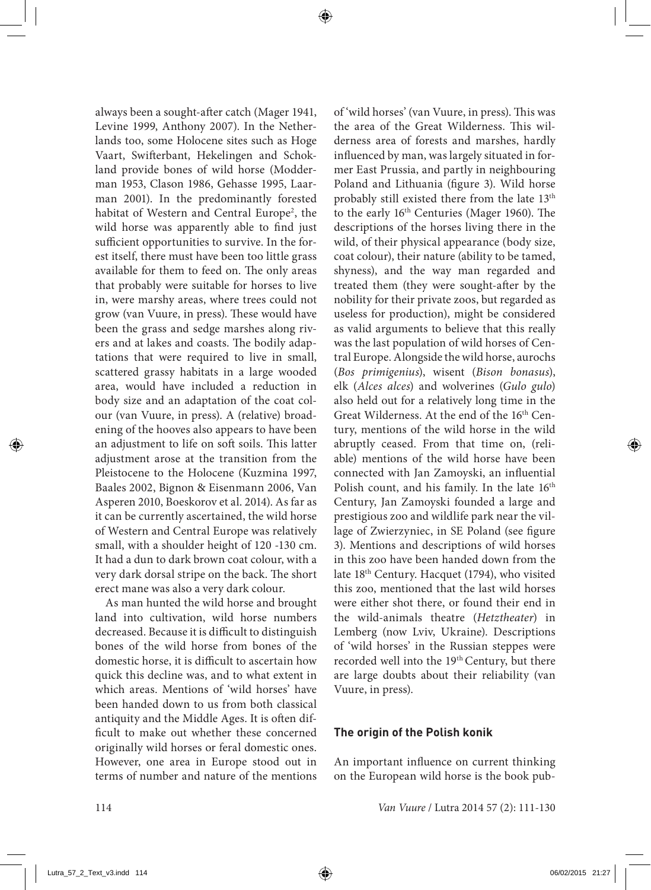always been a sought-after catch (Mager 1941, Levine 1999, Anthony 2007). In the Netherlands too, some Holocene sites such as Hoge Vaart, Swifterbant, Hekelingen and Schokland provide bones of wild horse (Modderman 1953, Clason 1986, Gehasse 1995, Laarman 2001). In the predominantly forested habitat of Western and Central Europe<sup>2</sup>, the wild horse was apparently able to find just sufficient opportunities to survive. In the forest itself, there must have been too little grass available for them to feed on. The only areas that probably were suitable for horses to live in, were marshy areas, where trees could not grow (van Vuure, in press). These would have been the grass and sedge marshes along rivers and at lakes and coasts. The bodily adaptations that were required to live in small, scattered grassy habitats in a large wooded area, would have included a reduction in body size and an adaptation of the coat colour (van Vuure, in press). A (relative) broadening of the hooves also appears to have been an adjustment to life on soft soils. This latter adjustment arose at the transition from the Pleistocene to the Holocene (Kuzmina 1997, Baales 2002, Bignon & Eisenmann 2006, Van Asperen 2010, Boeskorov et al. 2014). As far as it can be currently ascertained, the wild horse of Western and Central Europe was relatively small, with a shoulder height of 120 -130 cm. It had a dun to dark brown coat colour, with a very dark dorsal stripe on the back. The short erect mane was also a very dark colour.

As man hunted the wild horse and brought land into cultivation, wild horse numbers decreased. Because it is difficult to distinguish bones of the wild horse from bones of the domestic horse, it is difficult to ascertain how quick this decline was, and to what extent in which areas. Mentions of 'wild horses' have been handed down to us from both classical antiquity and the Middle Ages. It is often difficult to make out whether these concerned originally wild horses or feral domestic ones. However, one area in Europe stood out in terms of number and nature of the mentions of 'wild horses' (van Vuure, in press). This was the area of the Great Wilderness. This wilderness area of forests and marshes, hardly influenced by man, was largely situated in former East Prussia, and partly in neighbouring Poland and Lithuania (figure 3). Wild horse probably still existed there from the late 13<sup>th</sup> to the early 16th Centuries (Mager 1960). The descriptions of the horses living there in the wild, of their physical appearance (body size, coat colour), their nature (ability to be tamed, shyness), and the way man regarded and treated them (they were sought-after by the nobility for their private zoos, but regarded as useless for production), might be considered as valid arguments to believe that this really was the last population of wild horses of Central Europe. Alongside the wild horse, aurochs (*Bos primigenius*), wisent (*Bison bonasus*), elk (*Alces alces*) and wolverines (*Gulo gulo*) also held out for a relatively long time in the Great Wilderness. At the end of the 16<sup>th</sup> Century, mentions of the wild horse in the wild abruptly ceased. From that time on, (reliable) mentions of the wild horse have been connected with Jan Zamoyski, an influential Polish count, and his family. In the late  $16<sup>th</sup>$ Century, Jan Zamoyski founded a large and prestigious zoo and wildlife park near the village of Zwierzyniec, in SE Poland (see figure 3). Mentions and descriptions of wild horses in this zoo have been handed down from the late 18th Century. Hacquet (1794), who visited this zoo, mentioned that the last wild horses were either shot there, or found their end in the wild-animals theatre (*Hetztheater*) in Lemberg (now Lviv, Ukraine). Descriptions of 'wild horses' in the Russian steppes were recorded well into the 19<sup>th</sup> Century, but there are large doubts about their reliability (van Vuure, in press).

#### **The origin of the Polish konik**

An important influence on current thinking on the European wild horse is the book pub-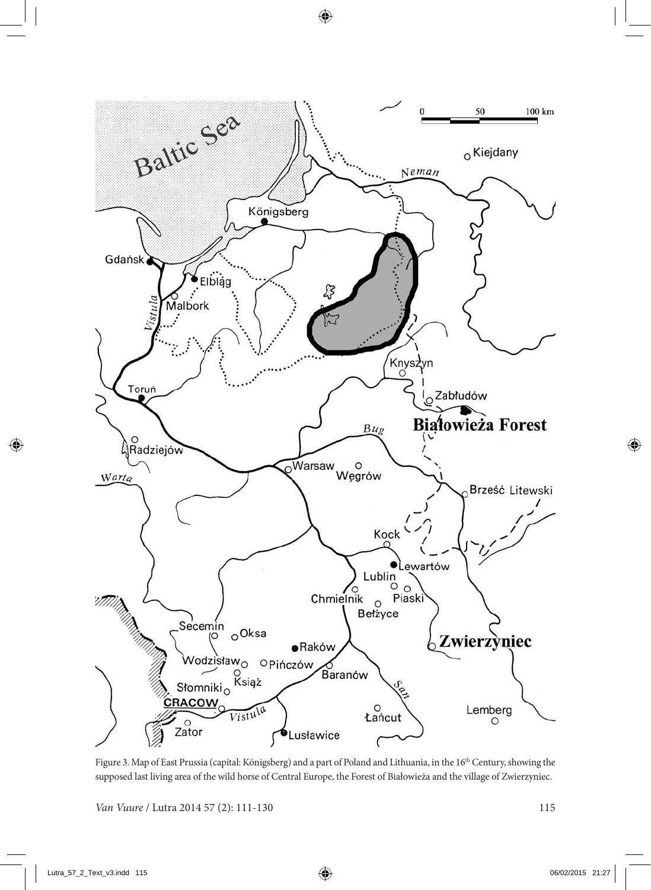

Figure 3. Map of East Prussia (capital: Königsberg) and a part of Poland and Lithuania, in the 16<sup>th</sup> Century, showing the supposed last living area of the wild horse of Central Europe, the Forest of Białowieża and the village of Zwierzyniec.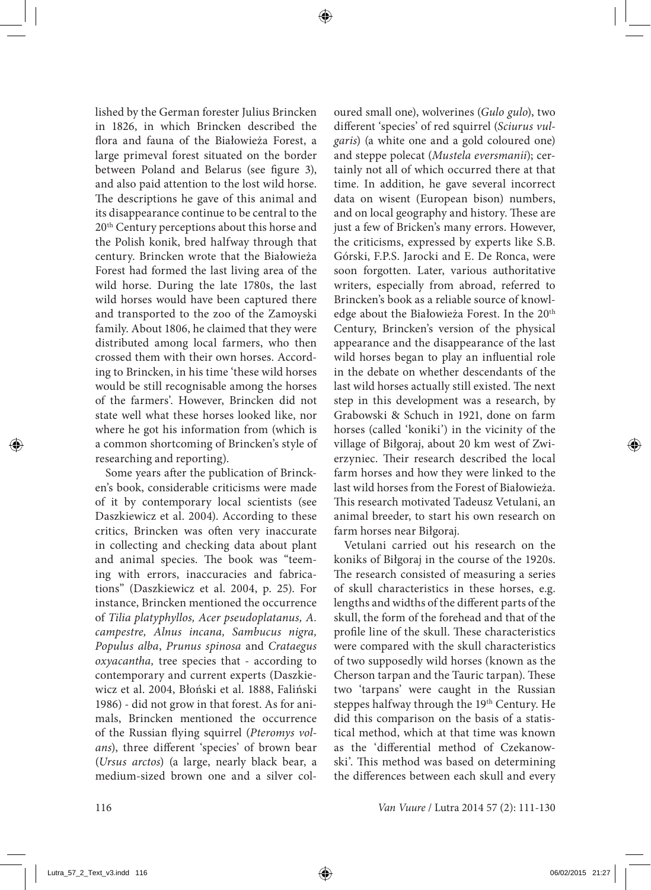lished by the German forester Julius Brincken in 1826, in which Brincken described the flora and fauna of the Białowieża Forest, a large primeval forest situated on the border between Poland and Belarus (see figure 3), and also paid attention to the lost wild horse. The descriptions he gave of this animal and its disappearance continue to be central to the 20th Century perceptions about this horse and the Polish konik, bred halfway through that century. Brincken wrote that the Białowieża Forest had formed the last living area of the wild horse. During the late 1780s, the last wild horses would have been captured there and transported to the zoo of the Zamoyski family. About 1806, he claimed that they were distributed among local farmers, who then crossed them with their own horses. According to Brincken, in his time 'these wild horses would be still recognisable among the horses of the farmers'. However, Brincken did not state well what these horses looked like, nor where he got his information from (which is a common shortcoming of Brincken's style of researching and reporting).

Some years after the publication of Brincken's book, considerable criticisms were made of it by contemporary local scientists (see Daszkiewicz et al. 2004). According to these critics, Brincken was often very inaccurate in collecting and checking data about plant and animal species. The book was "teeming with errors, inaccuracies and fabrications" (Daszkiewicz et al. 2004, p. 25). For instance, Brincken mentioned the occurrence of *Tilia platyphyllos, Acer pseudoplatanus, A. campestre, Alnus incana, Sambucus nigra, Populus alba*, *Prunus spinosa* and *Crataegus oxyacantha,* tree species that - according to contemporary and current experts (Daszkiewicz et al. 2004, Błoński et al. 1888, Faliński 1986) - did not grow in that forest. As for animals, Brincken mentioned the occurrence of the Russian flying squirrel (*Pteromys volans*), three different 'species' of brown bear (*Ursus arctos*) (a large, nearly black bear, a medium-sized brown one and a silver coloured small one), wolverines (*Gulo gulo*), two different 'species' of red squirrel (*Sciurus vulgaris*) (a white one and a gold coloured one) and steppe polecat (*Mustela eversmanii*); certainly not all of which occurred there at that time. In addition, he gave several incorrect data on wisent (European bison) numbers, and on local geography and history. These are just a few of Bricken's many errors. However, the criticisms, expressed by experts like S.B. Górski, F.P.S. Jarocki and E. De Ronca, were soon forgotten. Later, various authoritative writers, especially from abroad, referred to Brincken's book as a reliable source of knowledge about the Białowieża Forest. In the 20<sup>th</sup> Century, Brincken's version of the physical appearance and the disappearance of the last wild horses began to play an influential role in the debate on whether descendants of the last wild horses actually still existed. The next step in this development was a research, by Grabowski & Schuch in 1921, done on farm horses (called 'koniki') in the vicinity of the village of Biłgoraj, about 20 km west of Zwierzyniec. Their research described the local farm horses and how they were linked to the last wild horses from the Forest of Białowieża. This research motivated Tadeusz Vetulani, an animal breeder, to start his own research on farm horses near Biłgoraj.

Vetulani carried out his research on the koniks of Biłgoraj in the course of the 1920s. The research consisted of measuring a series of skull characteristics in these horses, e.g. lengths and widths of the different parts of the skull, the form of the forehead and that of the profile line of the skull. These characteristics were compared with the skull characteristics of two supposedly wild horses (known as the Cherson tarpan and the Tauric tarpan). These two 'tarpans' were caught in the Russian steppes halfway through the 19<sup>th</sup> Century. He did this comparison on the basis of a statistical method, which at that time was known as the 'differential method of Czekanowski'. This method was based on determining the differences between each skull and every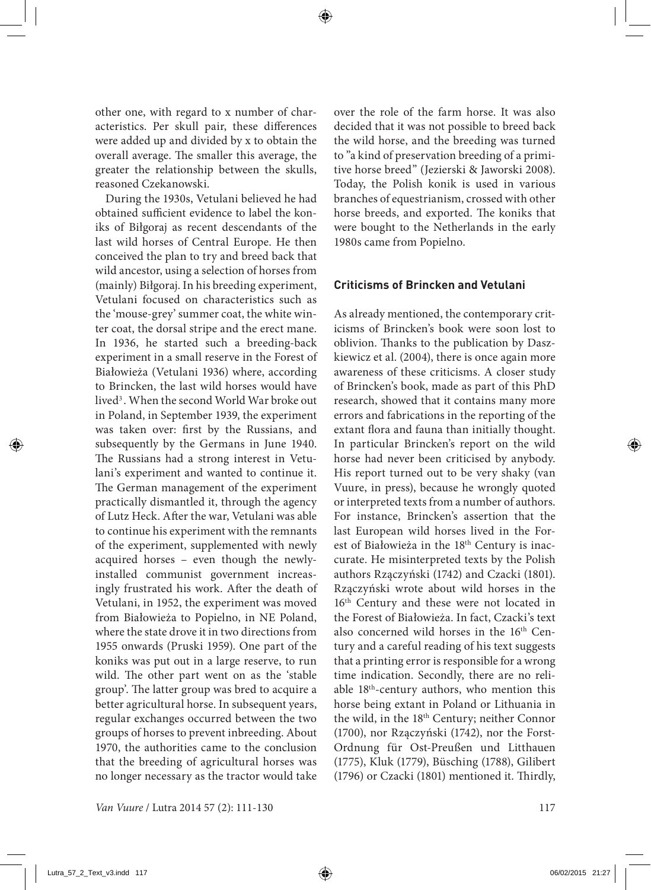other one, with regard to x number of characteristics. Per skull pair, these differences were added up and divided by x to obtain the overall average. The smaller this average, the greater the relationship between the skulls, reasoned Czekanowski.

During the 1930s, Vetulani believed he had obtained sufficient evidence to label the koniks of Biłgoraj as recent descendants of the last wild horses of Central Europe. He then conceived the plan to try and breed back that wild ancestor, using a selection of horses from (mainly) Biłgoraj. In his breeding experiment, Vetulani focused on characteristics such as the 'mouse-grey' summer coat, the white winter coat, the dorsal stripe and the erect mane. In 1936, he started such a breeding-back experiment in a small reserve in the Forest of Białowieża (Vetulani 1936) where, according to Brincken, the last wild horses would have lived<sup>3</sup>. When the second World War broke out in Poland, in September 1939, the experiment was taken over: first by the Russians, and subsequently by the Germans in June 1940. The Russians had a strong interest in Vetulani's experiment and wanted to continue it. The German management of the experiment practically dismantled it, through the agency of Lutz Heck. After the war, Vetulani was able to continue his experiment with the remnants of the experiment, supplemented with newly acquired horses – even though the newlyinstalled communist government increasingly frustrated his work. After the death of Vetulani, in 1952, the experiment was moved from Białowieża to Popielno, in NE Poland, where the state drove it in two directions from 1955 onwards (Pruski 1959). One part of the koniks was put out in a large reserve, to run wild. The other part went on as the 'stable group'. The latter group was bred to acquire a better agricultural horse. In subsequent years, regular exchanges occurred between the two groups of horses to prevent inbreeding. About 1970, the authorities came to the conclusion that the breeding of agricultural horses was no longer necessary as the tractor would take

over the role of the farm horse. It was also decided that it was not possible to breed back the wild horse, and the breeding was turned to "a kind of preservation breeding of a primitive horse breed" (Jezierski & Jaworski 2008). Today, the Polish konik is used in various branches of equestrianism, crossed with other horse breeds, and exported. The koniks that were bought to the Netherlands in the early 1980s came from Popielno.

#### **Criticisms of Brincken and Vetulani**

As already mentioned, the contemporary criticisms of Brincken's book were soon lost to oblivion. Thanks to the publication by Daszkiewicz et al. (2004), there is once again more awareness of these criticisms. A closer study of Brincken's book, made as part of this PhD research, showed that it contains many more errors and fabrications in the reporting of the extant flora and fauna than initially thought. In particular Brincken's report on the wild horse had never been criticised by anybody. His report turned out to be very shaky (van Vuure, in press), because he wrongly quoted or interpreted texts from a number of authors. For instance, Brincken's assertion that the last European wild horses lived in the Forest of Białowieża in the 18<sup>th</sup> Century is inaccurate. He misinterpreted texts by the Polish authors Rzączyński (1742) and Czacki (1801). Rzączyński wrote about wild horses in the 16<sup>th</sup> Century and these were not located in the Forest of Białowieża. In fact, Czacki's text also concerned wild horses in the 16<sup>th</sup> Century and a careful reading of his text suggests that a printing error is responsible for a wrong time indication. Secondly, there are no reliable 18th-century authors, who mention this horse being extant in Poland or Lithuania in the wild, in the 18th Century; neither Connor (1700), nor Rzączyński (1742), nor the Forst-Ordnung für Ost-Preußen und Litthauen (1775), Kluk (1779), Büsching (1788), Gilibert (1796) or Czacki (1801) mentioned it. Thirdly,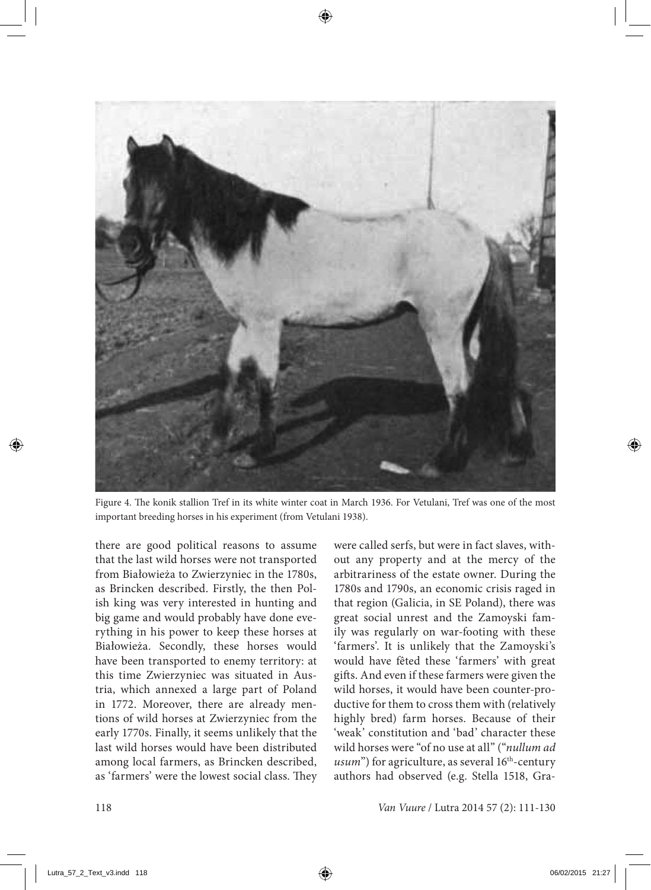

Figure 4. The konik stallion Tref in its white winter coat in March 1936. For Vetulani, Tref was one of the most important breeding horses in his experiment (from Vetulani 1938).

there are good political reasons to assume that the last wild horses were not transported from Białowieża to Zwierzyniec in the 1780s, as Brincken described. Firstly, the then Polish king was very interested in hunting and big game and would probably have done everything in his power to keep these horses at Białowieża. Secondly, these horses would have been transported to enemy territory: at this time Zwierzyniec was situated in Austria, which annexed a large part of Poland in 1772. Moreover, there are already mentions of wild horses at Zwierzyniec from the early 1770s. Finally, it seems unlikely that the last wild horses would have been distributed among local farmers, as Brincken described, as 'farmers' were the lowest social class. They were called serfs, but were in fact slaves, without any property and at the mercy of the arbitrariness of the estate owner. During the 1780s and 1790s, an economic crisis raged in that region (Galicia, in SE Poland), there was great social unrest and the Zamoyski family was regularly on war-footing with these 'farmers'. It is unlikely that the Zamoyski's would have fêted these 'farmers' with great gifts. And even if these farmers were given the wild horses, it would have been counter-productive for them to cross them with (relatively highly bred) farm horses. Because of their 'weak' constitution and 'bad' character these wild horses were "of no use at all" ("*nullum ad usum*") for agriculture, as several 16<sup>th</sup>-century authors had observed (e.g. Stella 1518, Gra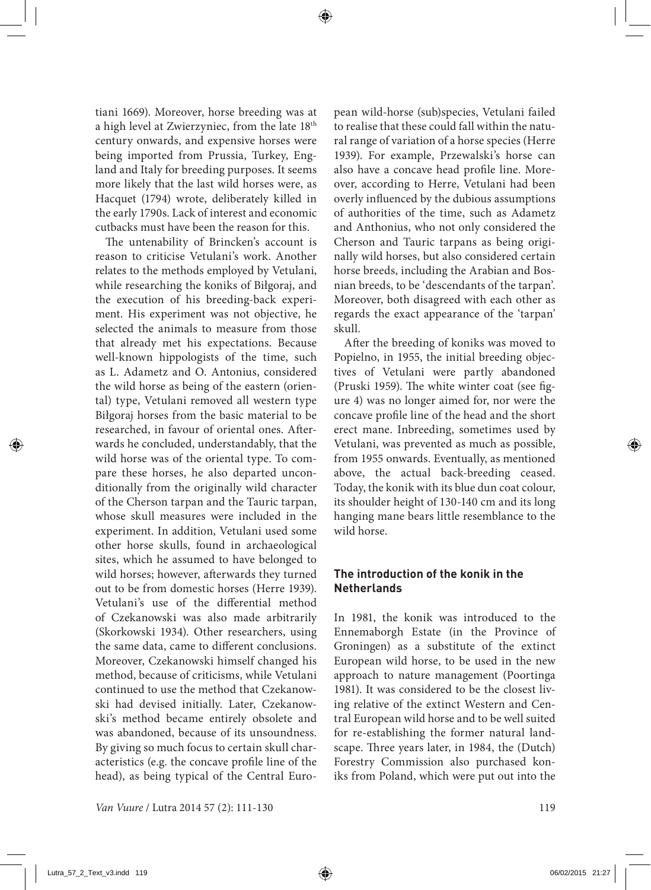tiani 1669). Moreover, horse breeding was at a high level at Zwierzyniec, from the late 18th century onwards, and expensive horses were being imported from Prussia, Turkey, England and Italy for breeding purposes. It seems more likely that the last wild horses were, as Hacquet (1794) wrote, deliberately killed in the early 1790s. Lack of interest and economic cutbacks must have been the reason for this.

The untenability of Brincken's account is reason to criticise Vetulani's work. Another relates to the methods employed by Vetulani, while researching the koniks of Biłgoraj, and the execution of his breeding-back experiment. His experiment was not objective, he selected the animals to measure from those that already met his expectations. Because well-known hippologists of the time, such as L. Adametz and O. Antonius, considered the wild horse as being of the eastern (oriental) type, Vetulani removed all western type Biłgoraj horses from the basic material to be researched, in favour of oriental ones. Afterwards he concluded, understandably, that the wild horse was of the oriental type. To compare these horses, he also departed unconditionally from the originally wild character of the Cherson tarpan and the Tauric tarpan, whose skull measures were included in the experiment. In addition, Vetulani used some other horse skulls, found in archaeological sites, which he assumed to have belonged to wild horses; however, afterwards they turned out to be from domestic horses (Herre 1939). Vetulani's use of the differential method of Czekanowski was also made arbitrarily (Skorkowski 1934). Other researchers, using the same data, came to different conclusions. Moreover, Czekanowski himself changed his method, because of criticisms, while Vetulani continued to use the method that Czekanowski had devised initially. Later, Czekanowski's method became entirely obsolete and was abandoned, because of its unsoundness. By giving so much focus to certain skull characteristics (e.g. the concave profile line of the head), as being typical of the Central Euro-

*Van Vuure / Lutra 2014 57 (2): 111-130* 119

pean wild-horse (sub)species, Vetulani failed to realise that these could fall within the natural range of variation of a horse species (Herre 1939). For example, Przewalski's horse can also have a concave head profile line. Moreover, according to Herre, Vetulani had been overly influenced by the dubious assumptions of authorities of the time, such as Adametz and Anthonius, who not only considered the Cherson and Tauric tarpans as being originally wild horses, but also considered certain horse breeds, including the Arabian and Bosnian breeds, to be 'descendants of the tarpan'. Moreover, both disagreed with each other as regards the exact appearance of the 'tarpan' skull.

After the breeding of koniks was moved to Popielno, in 1955, the initial breeding objectives of Vetulani were partly abandoned (Pruski 1959). The white winter coat (see figure 4) was no longer aimed for, nor were the concave profile line of the head and the short erect mane. Inbreeding, sometimes used by Vetulani, was prevented as much as possible, from 1955 onwards. Eventually, as mentioned above, the actual back-breeding ceased. Today, the konik with its blue dun coat colour, its shoulder height of 130-140 cm and its long hanging mane bears little resemblance to the wild horse.

## **The introduction of the konik in the Netherlands**

In 1981, the konik was introduced to the Ennemaborgh Estate (in the Province of Groningen) as a substitute of the extinct European wild horse, to be used in the new approach to nature management (Poortinga 1981). It was considered to be the closest living relative of the extinct Western and Central European wild horse and to be well suited for re-establishing the former natural landscape. Three years later, in 1984, the (Dutch) Forestry Commission also purchased koniks from Poland, which were put out into the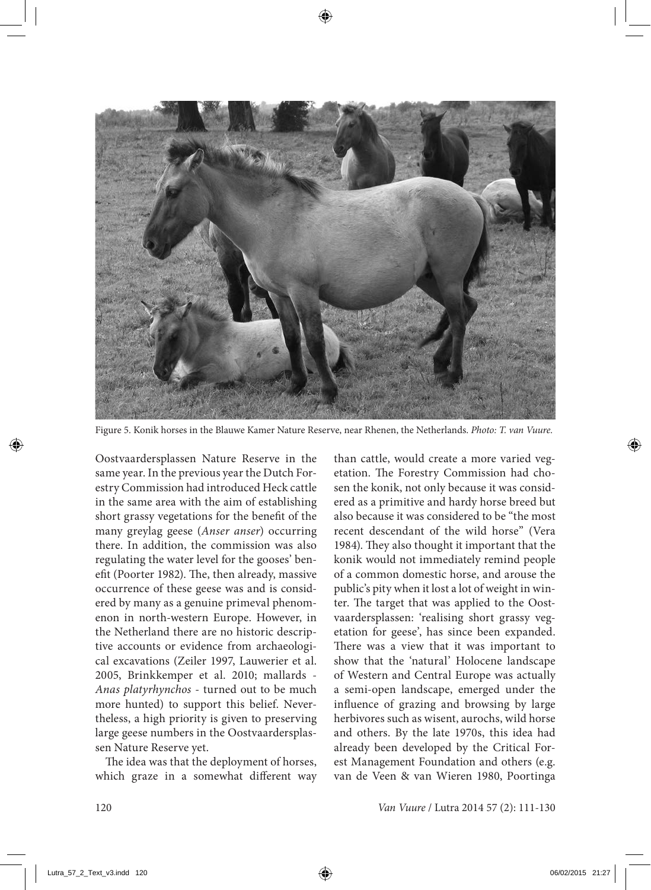

Figure 5. Konik horses in the Blauwe Kamer Nature Reserve, near Rhenen, the Netherlands. *Photo: T. van Vuure.*

Oostvaardersplassen Nature Reserve in the same year. In the previous year the Dutch Forestry Commission had introduced Heck cattle in the same area with the aim of establishing short grassy vegetations for the benefit of the many greylag geese (*Anser anser*) occurring there. In addition, the commission was also regulating the water level for the gooses' benefit (Poorter 1982). The, then already, massive occurrence of these geese was and is considered by many as a genuine primeval phenomenon in north-western Europe. However, in the Netherland there are no historic descriptive accounts or evidence from archaeological excavations (Zeiler 1997, Lauwerier et al. 2005, Brinkkemper et al. 2010; mallards - *Anas platyrhynchos* - turned out to be much more hunted) to support this belief. Nevertheless, a high priority is given to preserving large geese numbers in the Oostvaardersplassen Nature Reserve yet.

The idea was that the deployment of horses, which graze in a somewhat different way than cattle, would create a more varied vegetation. The Forestry Commission had chosen the konik, not only because it was considered as a primitive and hardy horse breed but also because it was considered to be "the most recent descendant of the wild horse" (Vera 1984). They also thought it important that the konik would not immediately remind people of a common domestic horse, and arouse the public's pity when it lost a lot of weight in winter. The target that was applied to the Oostvaardersplassen: 'realising short grassy vegetation for geese', has since been expanded. There was a view that it was important to show that the 'natural' Holocene landscape of Western and Central Europe was actually a semi-open landscape, emerged under the influence of grazing and browsing by large herbivores such as wisent, aurochs, wild horse and others. By the late 1970s, this idea had already been developed by the Critical Forest Management Foundation and others (e.g. van de Veen & van Wieren 1980, Poortinga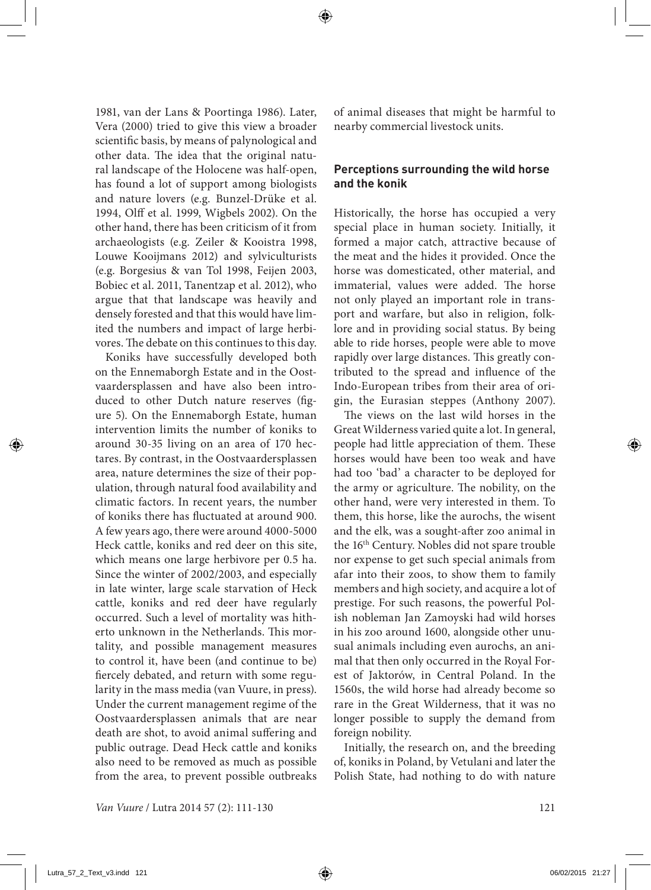1981, van der Lans & Poortinga 1986). Later, Vera (2000) tried to give this view a broader scientific basis, by means of palynological and other data. The idea that the original natural landscape of the Holocene was half-open, has found a lot of support among biologists and nature lovers (e.g. Bunzel-Drüke et al. 1994, Olff et al. 1999, Wigbels 2002). On the other hand, there has been criticism of it from archaeologists (e.g. Zeiler & Kooistra 1998, Louwe Kooijmans 2012) and sylviculturists (e.g. Borgesius & van Tol 1998, Feijen 2003, Bobiec et al. 2011, Tanentzap et al. 2012), who argue that that landscape was heavily and densely forested and that this would have limited the numbers and impact of large herbivores. The debate on this continues to this day.

Koniks have successfully developed both on the Ennemaborgh Estate and in the Oostvaardersplassen and have also been introduced to other Dutch nature reserves (figure 5). On the Ennemaborgh Estate, human intervention limits the number of koniks to around 30-35 living on an area of 170 hectares. By contrast, in the Oostvaardersplassen area, nature determines the size of their population, through natural food availability and climatic factors. In recent years, the number of koniks there has fluctuated at around 900. A few years ago, there were around 4000-5000 Heck cattle, koniks and red deer on this site, which means one large herbivore per 0.5 ha. Since the winter of 2002/2003, and especially in late winter, large scale starvation of Heck cattle, koniks and red deer have regularly occurred. Such a level of mortality was hitherto unknown in the Netherlands. This mortality, and possible management measures to control it, have been (and continue to be) fiercely debated, and return with some regularity in the mass media (van Vuure, in press). Under the current management regime of the Oostvaardersplassen animals that are near death are shot, to avoid animal suffering and public outrage. Dead Heck cattle and koniks also need to be removed as much as possible from the area, to prevent possible outbreaks of animal diseases that might be harmful to nearby commercial livestock units.

#### **Perceptions surrounding the wild horse and the konik**

Historically, the horse has occupied a very special place in human society. Initially, it formed a major catch, attractive because of the meat and the hides it provided. Once the horse was domesticated, other material, and immaterial, values were added. The horse not only played an important role in transport and warfare, but also in religion, folklore and in providing social status. By being able to ride horses, people were able to move rapidly over large distances. This greatly contributed to the spread and influence of the Indo-European tribes from their area of origin, the Eurasian steppes (Anthony 2007).

The views on the last wild horses in the Great Wilderness varied quite a lot. In general, people had little appreciation of them. These horses would have been too weak and have had too 'bad' a character to be deployed for the army or agriculture. The nobility, on the other hand, were very interested in them. To them, this horse, like the aurochs, the wisent and the elk, was a sought-after zoo animal in the 16th Century. Nobles did not spare trouble nor expense to get such special animals from afar into their zoos, to show them to family members and high society, and acquire a lot of prestige. For such reasons, the powerful Polish nobleman Jan Zamoyski had wild horses in his zoo around 1600, alongside other unusual animals including even aurochs, an animal that then only occurred in the Royal Forest of Jaktorów, in Central Poland. In the 1560s, the wild horse had already become so rare in the Great Wilderness, that it was no longer possible to supply the demand from foreign nobility.

Initially, the research on, and the breeding of, koniks in Poland, by Vetulani and later the Polish State, had nothing to do with nature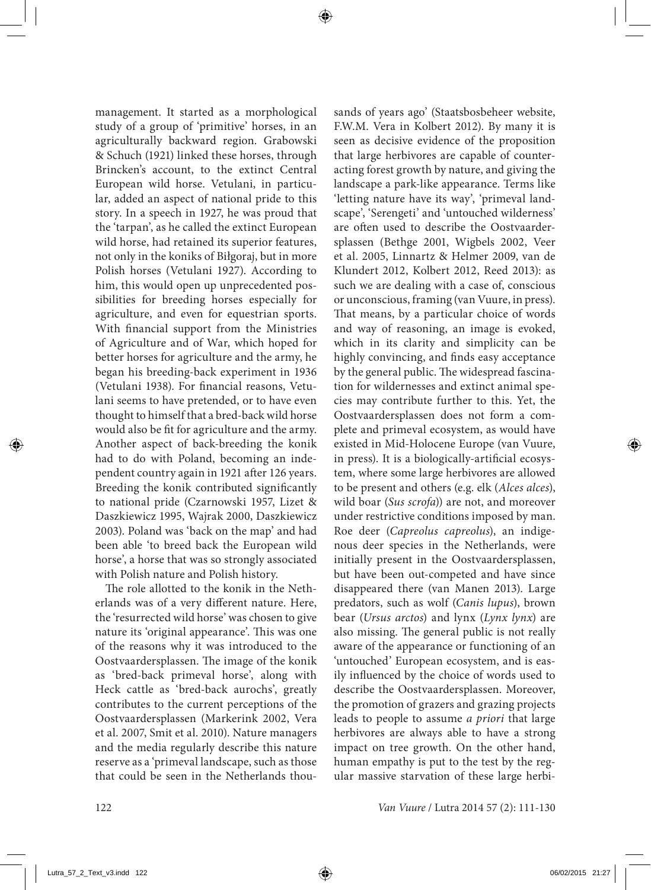management. It started as a morphological study of a group of 'primitive' horses, in an agriculturally backward region. Grabowski & Schuch (1921) linked these horses, through Brincken's account, to the extinct Central European wild horse. Vetulani, in particular, added an aspect of national pride to this story. In a speech in 1927, he was proud that the 'tarpan', as he called the extinct European wild horse, had retained its superior features, not only in the koniks of Biłgoraj, but in more Polish horses (Vetulani 1927). According to him, this would open up unprecedented possibilities for breeding horses especially for agriculture, and even for equestrian sports. With financial support from the Ministries of Agriculture and of War, which hoped for better horses for agriculture and the army, he began his breeding-back experiment in 1936 (Vetulani 1938). For financial reasons, Vetulani seems to have pretended, or to have even thought to himself that a bred-back wild horse would also be fit for agriculture and the army. Another aspect of back-breeding the konik had to do with Poland, becoming an independent country again in 1921 after 126 years. Breeding the konik contributed significantly to national pride (Czarnowski 1957, Lizet & Daszkiewicz 1995, Wajrak 2000, Daszkiewicz 2003). Poland was 'back on the map' and had been able 'to breed back the European wild horse', a horse that was so strongly associated with Polish nature and Polish history.

The role allotted to the konik in the Netherlands was of a very different nature. Here, the 'resurrected wild horse' was chosen to give nature its 'original appearance'. This was one of the reasons why it was introduced to the Oostvaardersplassen. The image of the konik as 'bred-back primeval horse', along with Heck cattle as 'bred-back aurochs', greatly contributes to the current perceptions of the Oostvaardersplassen (Markerink 2002, Vera et al. 2007, Smit et al. 2010). Nature managers and the media regularly describe this nature reserve as a 'primeval landscape, such as those that could be seen in the Netherlands thousands of years ago' (Staatsbosbeheer website, F.W.M. Vera in Kolbert 2012). By many it is seen as decisive evidence of the proposition that large herbivores are capable of counteracting forest growth by nature, and giving the landscape a park-like appearance. Terms like 'letting nature have its way', 'primeval landscape', 'Serengeti' and 'untouched wilderness' are often used to describe the Oostvaardersplassen (Bethge 2001, Wigbels 2002, Veer et al. 2005, Linnartz & Helmer 2009, van de Klundert 2012, Kolbert 2012, Reed 2013): as such we are dealing with a case of, conscious or unconscious, framing (van Vuure, in press). That means, by a particular choice of words and way of reasoning, an image is evoked, which in its clarity and simplicity can be highly convincing, and finds easy acceptance by the general public. The widespread fascination for wildernesses and extinct animal species may contribute further to this. Yet, the Oostvaardersplassen does not form a complete and primeval ecosystem, as would have existed in Mid-Holocene Europe (van Vuure, in press). It is a biologically-artificial ecosystem, where some large herbivores are allowed to be present and others (e.g. elk (*Alces alces*), wild boar (*Sus scrofa*)) are not, and moreover under restrictive conditions imposed by man. Roe deer (*Capreolus capreolus*), an indigenous deer species in the Netherlands, were initially present in the Oostvaardersplassen, but have been out-competed and have since disappeared there (van Manen 2013). Large predators, such as wolf (*Canis lupus*), brown bear (*Ursus arctos*) and lynx (*Lynx lynx*) are also missing. The general public is not really aware of the appearance or functioning of an 'untouched' European ecosystem, and is easily influenced by the choice of words used to describe the Oostvaardersplassen. Moreover, the promotion of grazers and grazing projects leads to people to assume *a priori* that large herbivores are always able to have a strong impact on tree growth. On the other hand, human empathy is put to the test by the regular massive starvation of these large herbi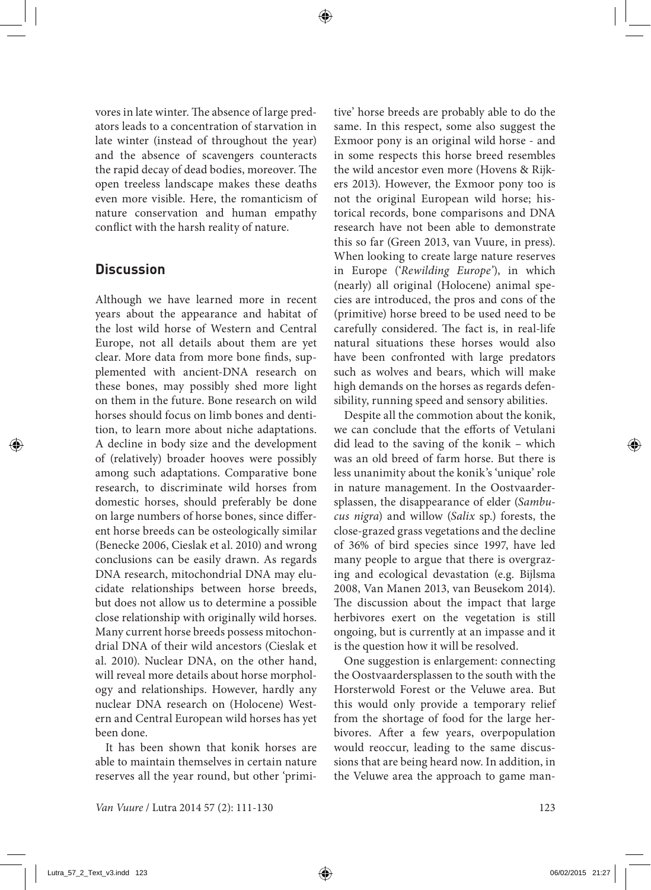vores in late winter. The absence of large predators leads to a concentration of starvation in late winter (instead of throughout the year) and the absence of scavengers counteracts the rapid decay of dead bodies, moreover. The open treeless landscape makes these deaths even more visible. Here, the romanticism of nature conservation and human empathy conflict with the harsh reality of nature.

## **Discussion**

Although we have learned more in recent years about the appearance and habitat of the lost wild horse of Western and Central Europe, not all details about them are yet clear. More data from more bone finds, supplemented with ancient-DNA research on these bones, may possibly shed more light on them in the future. Bone research on wild horses should focus on limb bones and dentition, to learn more about niche adaptations. A decline in body size and the development of (relatively) broader hooves were possibly among such adaptations. Comparative bone research, to discriminate wild horses from domestic horses, should preferably be done on large numbers of horse bones, since different horse breeds can be osteologically similar (Benecke 2006, Cieslak et al. 2010) and wrong conclusions can be easily drawn. As regards DNA research, mitochondrial DNA may elucidate relationships between horse breeds, but does not allow us to determine a possible close relationship with originally wild horses. Many current horse breeds possess mitochondrial DNA of their wild ancestors (Cieslak et al. 2010). Nuclear DNA, on the other hand, will reveal more details about horse morphology and relationships. However, hardly any nuclear DNA research on (Holocene) Western and Central European wild horses has yet been done.

It has been shown that konik horses are able to maintain themselves in certain nature reserves all the year round, but other 'primitive' horse breeds are probably able to do the same. In this respect, some also suggest the Exmoor pony is an original wild horse - and in some respects this horse breed resembles the wild ancestor even more (Hovens & Rijkers 2013). However, the Exmoor pony too is not the original European wild horse; historical records, bone comparisons and DNA research have not been able to demonstrate this so far (Green 2013, van Vuure, in press). When looking to create large nature reserves in Europe ('*Rewilding Europe'*), in which (nearly) all original (Holocene) animal species are introduced, the pros and cons of the (primitive) horse breed to be used need to be carefully considered. The fact is, in real-life natural situations these horses would also have been confronted with large predators such as wolves and bears, which will make high demands on the horses as regards defensibility, running speed and sensory abilities.

Despite all the commotion about the konik, we can conclude that the efforts of Vetulani did lead to the saving of the konik – which was an old breed of farm horse. But there is less unanimity about the konik's 'unique' role in nature management. In the Oostvaardersplassen, the disappearance of elder (*Sambucus nigra*) and willow (*Salix* sp.) forests, the close-grazed grass vegetations and the decline of 36% of bird species since 1997, have led many people to argue that there is overgrazing and ecological devastation (e.g. Bijlsma 2008, Van Manen 2013, van Beusekom 2014). The discussion about the impact that large herbivores exert on the vegetation is still ongoing, but is currently at an impasse and it is the question how it will be resolved.

One suggestion is enlargement: connecting the Oostvaardersplassen to the south with the Horsterwold Forest or the Veluwe area. But this would only provide a temporary relief from the shortage of food for the large herbivores. After a few years, overpopulation would reoccur, leading to the same discussions that are being heard now. In addition, in the Veluwe area the approach to game man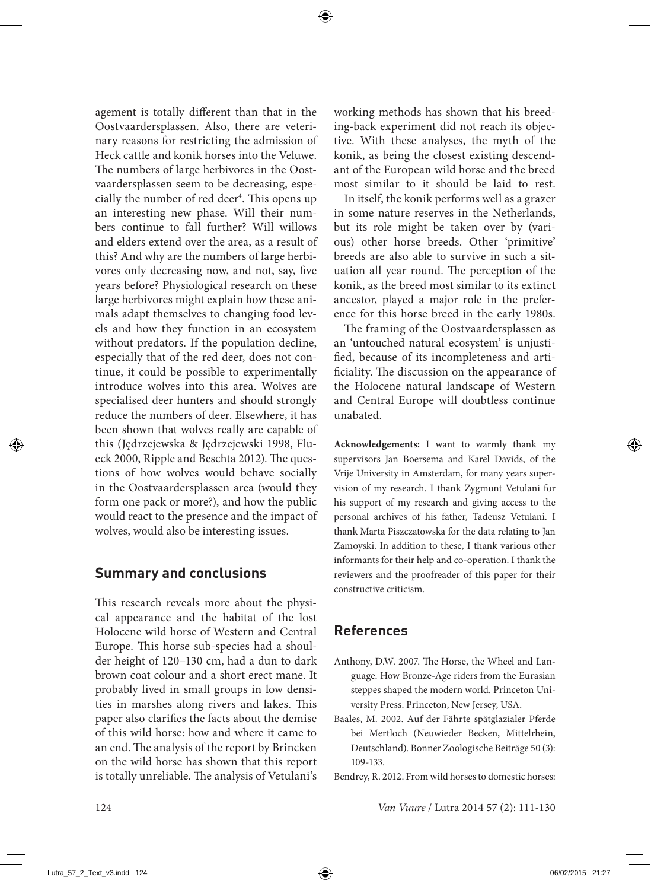agement is totally different than that in the Oostvaardersplassen. Also, there are veterinary reasons for restricting the admission of Heck cattle and konik horses into the Veluwe. The numbers of large herbivores in the Oostvaardersplassen seem to be decreasing, especially the number of red deer<sup>4</sup>. This opens up an interesting new phase. Will their numbers continue to fall further? Will willows and elders extend over the area, as a result of this? And why are the numbers of large herbivores only decreasing now, and not, say, five years before? Physiological research on these large herbivores might explain how these animals adapt themselves to changing food levels and how they function in an ecosystem without predators. If the population decline, especially that of the red deer, does not continue, it could be possible to experimentally introduce wolves into this area. Wolves are specialised deer hunters and should strongly reduce the numbers of deer. Elsewhere, it has been shown that wolves really are capable of this (Jędrzejewska & Jędrzejewski 1998, Flueck 2000, Ripple and Beschta 2012). The questions of how wolves would behave socially in the Oostvaardersplassen area (would they form one pack or more?), and how the public would react to the presence and the impact of wolves, would also be interesting issues.

## **Summary and conclusions**

This research reveals more about the physical appearance and the habitat of the lost Holocene wild horse of Western and Central Europe. This horse sub-species had a shoulder height of 120–130 cm, had a dun to dark brown coat colour and a short erect mane. It probably lived in small groups in low densities in marshes along rivers and lakes. This paper also clarifies the facts about the demise of this wild horse: how and where it came to an end. The analysis of the report by Brincken on the wild horse has shown that this report is totally unreliable. The analysis of Vetulani's working methods has shown that his breeding-back experiment did not reach its objective. With these analyses, the myth of the konik, as being the closest existing descendant of the European wild horse and the breed most similar to it should be laid to rest.

In itself, the konik performs well as a grazer in some nature reserves in the Netherlands, but its role might be taken over by (various) other horse breeds. Other 'primitive' breeds are also able to survive in such a situation all year round. The perception of the konik, as the breed most similar to its extinct ancestor, played a major role in the preference for this horse breed in the early 1980s.

The framing of the Oostvaardersplassen as an 'untouched natural ecosystem' is unjustified, because of its incompleteness and artificiality. The discussion on the appearance of the Holocene natural landscape of Western and Central Europe will doubtless continue unabated.

**Acknowledgements:** I want to warmly thank my supervisors Jan Boersema and Karel Davids, of the Vrije University in Amsterdam, for many years supervision of my research. I thank Zygmunt Vetulani for his support of my research and giving access to the personal archives of his father, Tadeusz Vetulani. I thank Marta Piszczatowska for the data relating to Jan Zamoyski. In addition to these, I thank various other informants for their help and co-operation. I thank the reviewers and the proofreader of this paper for their constructive criticism.

## **References**

- Anthony, D.W. 2007. The Horse, the Wheel and Language. How Bronze-Age riders from the Eurasian steppes shaped the modern world. Princeton University Press. Princeton, New Jersey, USA.
- Baales, M. 2002. Auf der Fährte spätglazialer Pferde bei Mertloch (Neuwieder Becken, Mittelrhein, Deutschland). Bonner Zoologische Beiträge 50 (3): 109-133.

Bendrey, R. 2012. From wild horses to domestic horses: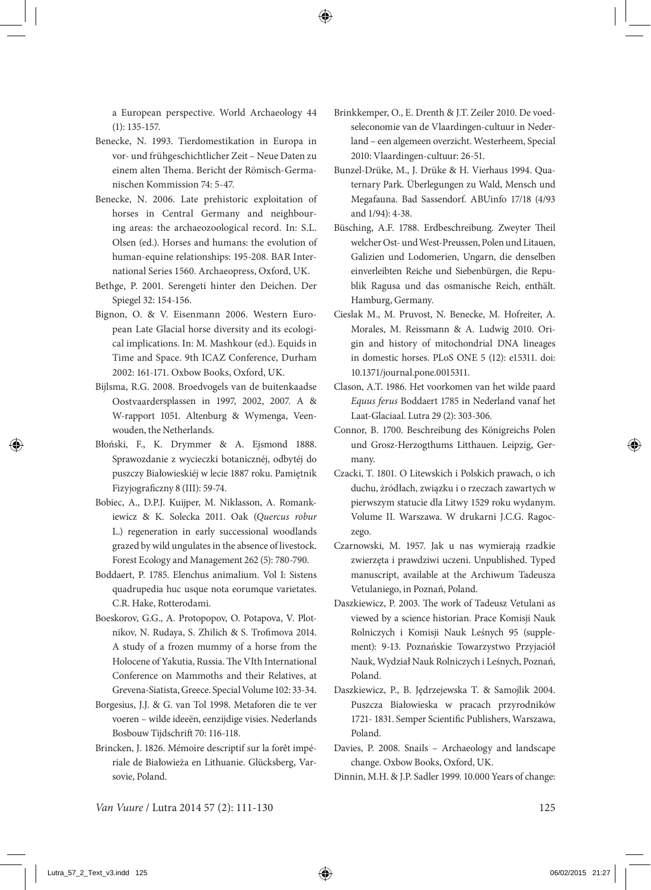a European perspective. World Archaeology 44 (1): 135-157.

- Benecke, N. 1993. Tierdomestikation in Europa in vor- und frühgeschichtlicher Zeit – Neue Daten zu einem alten Thema. Bericht der Römisch-Germanischen Kommission 74: 5-47.
- Benecke, N. 2006. Late prehistoric exploitation of horses in Central Germany and neighbouring areas: the archaeozoological record. In: S.L. Olsen (ed.). Horses and humans: the evolution of human-equine relationships: 195-208. BAR International Series 1560. Archaeopress, Oxford, UK.
- Bethge, P. 2001. Serengeti hinter den Deichen. Der Spiegel 32: 154-156.
- Bignon, O. & V. Eisenmann 2006. Western European Late Glacial horse diversity and its ecological implications. In: M. Mashkour (ed.). Equids in Time and Space. 9th ICAZ Conference, Durham 2002: 161-171. Oxbow Books, Oxford, UK.
- Bijlsma, R.G. 2008. Broedvogels van de buitenkaadse Oostvaardersplassen in 1997, 2002, 2007. A & W-rapport 1051. Altenburg & Wymenga, Veenwouden, the Netherlands.
- Błoński, F., K. Drymmer & A. Ejsmond 1888. Sprawozdanie z wycieczki botanicznéj, odbytéj do puszczy Białowieskiéj w lecie 1887 roku. Pamiętnik Fizyjograficzny 8 (III): 59-74.
- Bobiec, A., D.P.J. Kuijper, M. Niklasson, A. Romankiewicz & K. Solecka 2011. Oak (*Quercus robur* L.) regeneration in early successional woodlands grazed by wild ungulates in the absence of livestock. Forest Ecology and Management 262 (5): 780-790.
- Boddaert, P. 1785. Elenchus animalium. Vol I: Sistens quadrupedia huc usque nota eorumque varietates. C.R. Hake, Rotterodami.
- Boeskorov, G.G., A. Protopopov, O. Potapova, V. Plotnikov, N. Rudaya, S. Zhilich & S. Trofimova 2014. A study of a frozen mummy of a horse from the Holocene of Yakutia, Russia. The VIth International Conference on Mammoths and their Relatives, at Grevena-Siatista, Greece. Special Volume 102: 33-34.
- Borgesius, J.J. & G. van Tol 1998. Metaforen die te ver voeren – wilde ideeën, eenzijdige visies. Nederlands Bosbouw Tijdschrift 70: 116-118.
- Brincken, J. 1826. Mémoire descriptif sur la forêt impériale de Białowieża en Lithuanie. Glücksberg, Varsovie, Poland.
- Brinkkemper, O., E. Drenth & J.T. Zeiler 2010. De voedseleconomie van de Vlaardingen-cultuur in Nederland – een algemeen overzicht. Westerheem, Special 2010: Vlaardingen-cultuur: 26-51.
- Bunzel-Drüke, M., J. Drüke & H. Vierhaus 1994. Quaternary Park. Überlegungen zu Wald, Mensch und Megafauna. Bad Sassendorf. ABUinfo 17/18 (4/93 and 1/94): 4-38.
- Büsching, A.F. 1788. Erdbeschreibung. Zweyter Theil welcher Ost- und West-Preussen, Polen und Litauen, Galizien und Lodomerien, Ungarn, die denselben einverleibten Reiche und Siebenbürgen, die Republik Ragusa und das osmanische Reich, enthält. Hamburg, Germany.
- Cieslak M., M. Pruvost, N. Benecke, M. Hofreiter, A. Morales, M. Reissmann & A. Ludwig 2010. Origin and history of mitochondrial DNA lineages in domestic horses. PLoS ONE 5 (12): e15311. doi: 10.1371/journal.pone.0015311.
- Clason, A.T. 1986. Het voorkomen van het wilde paard *Equus ferus* Boddaert 1785 in Nederland vanaf het Laat-Glaciaal. Lutra 29 (2): 303-306.
- Connor, B. 1700. Beschreibung des Königreichs Polen und Grosz-Herzogthums Litthauen. Leipzig, Germany.
- Czacki, T. 1801. O Litewskich i Polskich prawach, o ich duchu, żródłach, związku i o rzeczach zawartych w pierwszym statucie dla Litwy 1529 roku wydanym. Volume II. Warszawa. W drukarni J.C.G. Ragoczego.
- Czarnowski, M. 1957. Jak u nas wymierają rzadkie zwierzęta i prawdziwi uczeni. Unpublished. Typed manuscript, available at the Archiwum Tadeusza Vetulaniego, in Poznań, Poland.
- Daszkiewicz, P. 2003. The work of Tadeusz Vetulani as viewed by a science historian. Prace Komisji Nauk Rolniczych i Komisji Nauk Leśnych 95 (supplement): 9-13. Poznańskie Towarzystwo Przyjaciół Nauk, Wydział Nauk Rolniczych i Leśnych, Poznań, Poland.
- Daszkiewicz, P., B. Jędrzejewska T. & Samojlik 2004. Puszcza Białowieska w pracach przyrodników 1721- 1831. Semper Scientific Publishers, Warszawa, Poland.
- Davies, P. 2008. Snails Archaeology and landscape change. Oxbow Books, Oxford, UK.

Dinnin, M.H. & J.P. Sadler 1999. 10.000 Years of change: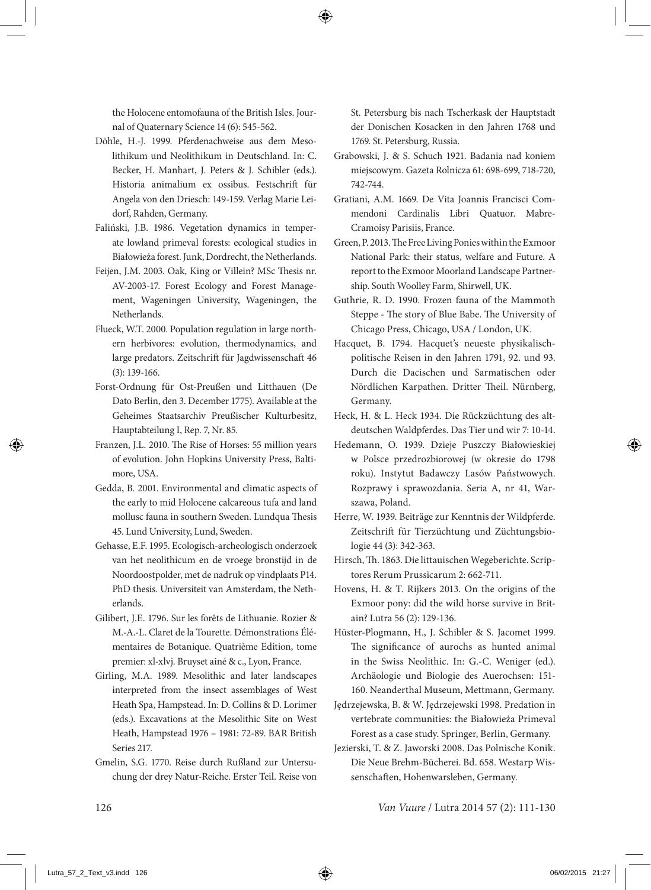the Holocene entomofauna of the British Isles. Journal of Quaternary Science 14 (6): 545-562.

- Döhle, H.-J. 1999. Pferdenachweise aus dem Mesolithikum und Neolithikum in Deutschland. In: C. Becker, H. Manhart, J. Peters & J. Schibler (eds.). Historia animalium ex ossibus. Festschrift für Angela von den Driesch: 149-159. Verlag Marie Leidorf, Rahden, Germany.
- Faliński, J.B. 1986. Vegetation dynamics in temperate lowland primeval forests: ecological studies in Białowieża forest. Junk, Dordrecht, the Netherlands.
- Feijen, J.M. 2003. Oak, King or Villein? MSc Thesis nr. AV-2003-17. Forest Ecology and Forest Management, Wageningen University, Wageningen, the Netherlands.
- Flueck, W.T. 2000. Population regulation in large northern herbivores: evolution, thermodynamics, and large predators. Zeitschrift für Jagdwissenschaft 46 (3): 139-166.
- Forst-Ordnung für Ost-Preußen und Litthauen (De Dato Berlin, den 3. December 1775). Available at the Geheimes Staatsarchiv Preußischer Kulturbesitz, Hauptabteilung I, Rep. 7, Nr. 85.
- Franzen, J.L. 2010. The Rise of Horses: 55 million years of evolution. John Hopkins University Press, Baltimore, USA.
- Gedda, B. 2001. Environmental and climatic aspects of the early to mid Holocene calcareous tufa and land mollusc fauna in southern Sweden. Lundqua Thesis 45. Lund University, Lund, Sweden.
- Gehasse, E.F. 1995. Ecologisch-archeologisch onderzoek van het neolithicum en de vroege bronstijd in de Noordoostpolder, met de nadruk op vindplaats P14. PhD thesis. Universiteit van Amsterdam, the Netherlands.
- Gilibert, J.E. 1796. Sur les forêts de Lithuanie. Rozier & M.-A.-L. Claret de la Tourette. Démonstrations Élémentaires de Botanique. Quatrième Edition, tome premier: xl-xlvj. Bruyset ainé & c., Lyon, France.
- Girling, M.A. 1989. Mesolithic and later landscapes interpreted from the insect assemblages of West Heath Spa, Hampstead. In: D. Collins & D. Lorimer (eds.). Excavations at the Mesolithic Site on West Heath, Hampstead 1976 – 1981: 72-89. BAR British Series 217.
- Gmelin, S.G. 1770. Reise durch Rußland zur Untersuchung der drey Natur-Reiche. Erster Teil. Reise von

St. Petersburg bis nach Tscherkask der Hauptstadt der Donischen Kosacken in den Jahren 1768 und 1769. St. Petersburg, Russia.

- Grabowski, J. & S. Schuch 1921. Badania nad koniem miejscowym. Gazeta Rolnicza 61: 698-699, 718-720, 742-744.
- Gratiani, A.M. 1669. De Vita Joannis Francisci Commendoni Cardinalis Libri Quatuor. Mabre-Cramoisy Parisiis, France.
- Green, P. 2013. The Free Living Ponies within the Exmoor National Park: their status, welfare and Future. A report to the Exmoor Moorland Landscape Partnership. South Woolley Farm, Shirwell, UK.
- Guthrie, R. D. 1990. Frozen fauna of the Mammoth Steppe - The story of Blue Babe. The University of Chicago Press, Chicago, USA / London, UK.
- Hacquet, B. 1794. Hacquet's neueste physikalischpolitische Reisen in den Jahren 1791, 92. und 93. Durch die Dacischen und Sarmatischen oder Nördlichen Karpathen. Dritter Theil. Nürnberg, Germany.
- Heck, H. & L. Heck 1934. Die Rückzüchtung des altdeutschen Waldpferdes. Das Tier und wir 7: 10-14.
- Hedemann, O. 1939. Dzieje Puszczy Białowieskiej w Polsce przedrozbiorowej (w okresie do 1798 roku). Instytut Badawczy Lasów Państwowych. Rozprawy i sprawozdania. Seria A, nr 41, Warszawa, Poland.
- Herre, W. 1939. Beiträge zur Kenntnis der Wildpferde. Zeitschrift für Tierzüchtung und Züchtungsbiologie 44 (3): 342-363.
- Hirsch, Th. 1863. Die littauischen Wegeberichte. Scriptores Rerum Prussicarum 2: 662-711.
- Hovens, H. & T. Rijkers 2013. On the origins of the Exmoor pony: did the wild horse survive in Britain? Lutra 56 (2): 129-136.
- Hüster-Plogmann, H., J. Schibler & S. Jacomet 1999. The significance of aurochs as hunted animal in the Swiss Neolithic. In: G.-C. Weniger (ed.). Archäologie und Biologie des Auerochsen: 151- 160. Neanderthal Museum, Mettmann, Germany.
- Jędrzejewska, B. & W. Jędrzejewski 1998. Predation in vertebrate communities: the Białowieża Primeval Forest as a case study. Springer, Berlin, Germany.
- Jezierski, T. & Z. Jaworski 2008. Das Polnische Konik. Die Neue Brehm-Bücherei. Bd. 658. Westarp Wissenschaften, Hohenwarsleben, Germany.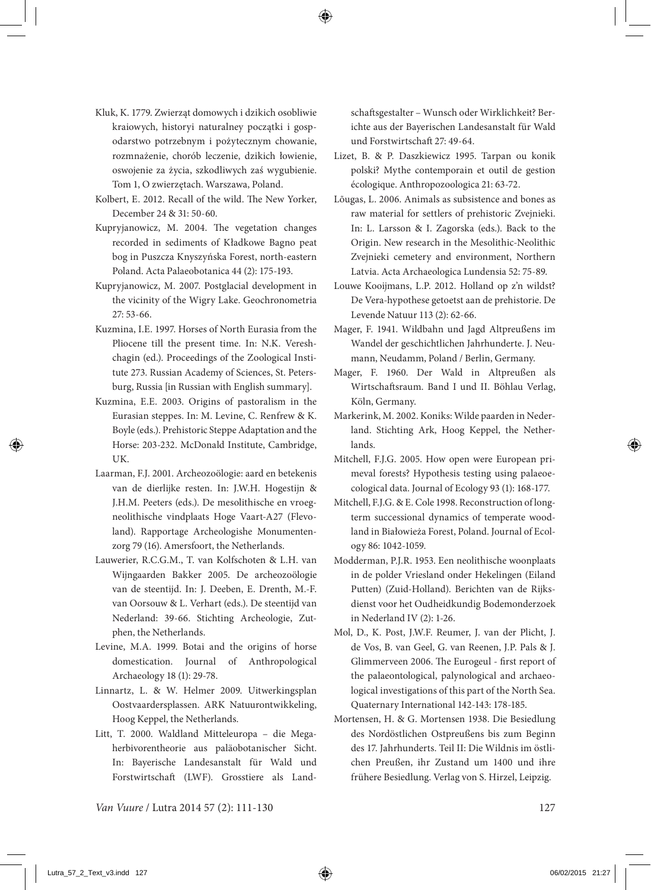- Kluk, K. 1779. Zwierząt domowych i dzikich osobliwie kraiowych, historyi naturalney początki i gospodarstwo potrzebnym i pożytecznym chowanie, rozmnażenie, chorób leczenie, dzikich łowienie, oswojenie za życia, szkodliwych zaś wygubienie. Tom 1, O zwierzętach. Warszawa, Poland.
- Kolbert, E. 2012. Recall of the wild. The New Yorker, December 24 & 31: 50-60.
- Kupryjanowicz, M. 2004. The vegetation changes recorded in sediments of Kładkowe Bagno peat bog in Puszcza Knyszyńska Forest, north-eastern Poland. Acta Palaeobotanica 44 (2): 175-193.
- Kupryjanowicz, M. 2007. Postglacial development in the vicinity of the Wigry Lake. Geochronometria 27: 53-66.
- Kuzmina, I.E. 1997. Horses of North Eurasia from the Pliocene till the present time. In: N.K. Vereshchagin (ed.). Proceedings of the Zoological Institute 273. Russian Academy of Sciences, St. Petersburg, Russia [in Russian with English summary].
- Kuzmina, E.E. 2003. Origins of pastoralism in the Eurasian steppes. In: M. Levine, C. Renfrew & K. Boyle (eds.). Prehistoric Steppe Adaptation and the Horse: 203-232. McDonald Institute, Cambridge, UK.
- Laarman, F.J. 2001. Archeozoölogie: aard en betekenis van de dierlijke resten. In: J.W.H. Hogestijn & J.H.M. Peeters (eds.). De mesolithische en vroegneolithische vindplaats Hoge Vaart-A27 (Flevoland). Rapportage Archeologishe Monumentenzorg 79 (16). Amersfoort, the Netherlands.
- Lauwerier, R.C.G.M., T. van Kolfschoten & L.H. van Wijngaarden Bakker 2005. De archeozoölogie van de steentijd. In: J. Deeben, E. Drenth, M.-F. van Oorsouw & L. Verhart (eds.). De steentijd van Nederland: 39-66. Stichting Archeologie, Zutphen, the Netherlands.
- Levine, M.A. 1999. Botai and the origins of horse domestication. Journal of Anthropological Archaeology 18 (1): 29-78.
- Linnartz, L. & W. Helmer 2009. Uitwerkingsplan Oostvaardersplassen. ARK Natuurontwikkeling, Hoog Keppel, the Netherlands.
- Litt, T. 2000. Waldland Mitteleuropa die Megaherbivorentheorie aus paläobotanischer Sicht. In: Bayerische Landesanstalt für Wald und Forstwirtschaft (LWF). Grosstiere als Land-

schaftsgestalter – Wunsch oder Wirklichkeit? Berichte aus der Bayerischen Landesanstalt für Wald und Forstwirtschaft 27: 49-64.

- Lizet, B. & P. Daszkiewicz 1995. Tarpan ou konik polski? Mythe contemporain et outil de gestion écologique. Anthropozoologica 21: 63-72.
- Lõugas, L. 2006. Animals as subsistence and bones as raw material for settlers of prehistoric Zvejnieki. In: L. Larsson & I. Zagorska (eds.). Back to the Origin. New research in the Mesolithic-Neolithic Zvejnieki cemetery and environment, Northern Latvia. Acta Archaeologica Lundensia 52: 75-89.
- Louwe Kooijmans, L.P. 2012. Holland op z'n wildst? De Vera-hypothese getoetst aan de prehistorie. De Levende Natuur 113 (2): 62-66.
- Mager, F. 1941. Wildbahn und Jagd Altpreußens im Wandel der geschichtlichen Jahrhunderte. J. Neumann, Neudamm, Poland / Berlin, Germany.
- Mager, F. 1960. Der Wald in Altpreußen als Wirtschaftsraum. Band I und II. Böhlau Verlag, Köln, Germany.
- Markerink, M. 2002. Koniks: Wilde paarden in Nederland. Stichting Ark, Hoog Keppel, the Netherlands.
- Mitchell, F.J.G. 2005. How open were European primeval forests? Hypothesis testing using palaeoecological data. Journal of Ecology 93 (1): 168-177.
- Mitchell, F.J.G. & E. Cole 1998. Reconstruction of longterm successional dynamics of temperate woodland in Białowieża Forest, Poland. Journal of Ecology 86: 1042-1059.
- Modderman, P.J.R. 1953. Een neolithische woonplaats in de polder Vriesland onder Hekelingen (Eiland Putten) (Zuid-Holland). Berichten van de Rijksdienst voor het Oudheidkundig Bodemonderzoek in Nederland IV (2): 1-26.
- Mol, D., K. Post, J.W.F. Reumer, J. van der Plicht, J. de Vos, B. van Geel, G. van Reenen, J.P. Pals & J. Glimmerveen 2006. The Eurogeul - first report of the palaeontological, palynological and archaeological investigations of this part of the North Sea. Quaternary International 142-143: 178-185.
- Mortensen, H. & G. Mortensen 1938. Die Besiedlung des Nordöstlichen Ostpreußens bis zum Beginn des 17. Jahrhunderts. Teil II: Die Wildnis im östlichen Preußen, ihr Zustand um 1400 und ihre frühere Besiedlung. Verlag von S. Hirzel, Leipzig.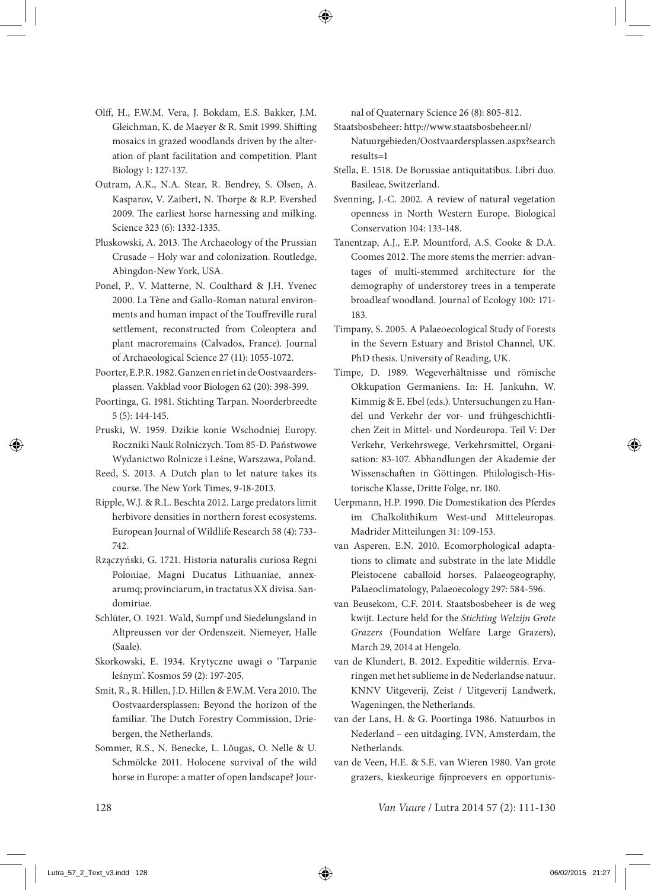- Olff, H., F.W.M. Vera, J. Bokdam, E.S. Bakker, J.M. Gleichman, K. de Maeyer & R. Smit 1999. Shifting mosaics in grazed woodlands driven by the alteration of plant facilitation and competition. Plant Biology 1: 127-137.
- Outram, A.K., N.A. Stear, R. Bendrey, S. Olsen, A. Kasparov, V. Zaibert, N. Thorpe & R.P. Evershed 2009. The earliest horse harnessing and milking. Science 323 (6): 1332-1335.
- Pluskowski, A. 2013. The Archaeology of the Prussian Crusade – Holy war and colonization. Routledge, Abingdon-New York, USA.
- Ponel, P., V. Matterne, N. Coulthard & J.H. Yvenec 2000. La Tène and Gallo-Roman natural environments and human impact of the Touffreville rural settlement, reconstructed from Coleoptera and plant macroremains (Calvados, France). Journal of Archaeological Science 27 (11): 1055-1072.
- Poorter, E.P.R. 1982. Ganzen en riet in de Oostvaardersplassen. Vakblad voor Biologen 62 (20): 398-399.
- Poortinga, G. 1981. Stichting Tarpan. Noorderbreedte 5 (5): 144-145.
- Pruski, W. 1959. Dzikie konie Wschodniej Europy. Roczniki Nauk Rolniczych. Tom 85-D. Państwowe Wydanictwo Rolnicze i Leśne, Warszawa, Poland.
- Reed, S. 2013. A Dutch plan to let nature takes its course. The New York Times, 9-18-2013.
- Ripple, W.J. & R.L. Beschta 2012. Large predators limit herbivore densities in northern forest ecosystems. European Journal of Wildlife Research 58 (4): 733- 742.
- Rzączyński, G. 1721. Historia naturalis curiosa Regni Poloniae, Magni Ducatus Lithuaniae, annexarumq; provinciarum, in tractatus XX divisa. Sandomiriae.
- Schlüter, O. 1921. Wald, Sumpf und Siedelungsland in Altpreussen vor der Ordenszeit. Niemeyer, Halle (Saale).
- Skorkowski, E. 1934. Krytyczne uwagi o 'Tarpanie leśnym'. Kosmos 59 (2): 197-205.
- Smit, R., R. Hillen, J.D. Hillen & F.W.M. Vera 2010. The Oostvaardersplassen: Beyond the horizon of the familiar. The Dutch Forestry Commission, Driebergen, the Netherlands.
- Sommer, R.S., N. Benecke, L. Lõugas, O. Nelle & U. Schmölcke 2011. Holocene survival of the wild horse in Europe: a matter of open landscape? Jour-

nal of Quaternary Science 26 (8): 805-812.

- Staatsbosbeheer: http://www.staatsbosbeheer.nl/ Natuurgebieden/Oostvaardersplassen.aspx?search results=1
- Stella, E. 1518. De Borussiae antiquitatibus. Libri duo. Basileae, Switzerland.
- Svenning, J.-C. 2002. A review of natural vegetation openness in North Western Europe. Biological Conservation 104: 133-148.
- Tanentzap, A.J., E.P. Mountford, A.S. Cooke & D.A. Coomes 2012. The more stems the merrier: advantages of multi-stemmed architecture for the demography of understorey trees in a temperate broadleaf woodland. Journal of Ecology 100: 171- 183.
- Timpany, S. 2005. A Palaeoecological Study of Forests in the Severn Estuary and Bristol Channel, UK. PhD thesis. University of Reading, UK.
- Timpe, D. 1989. Wegeverhältnisse und römische Okkupation Germaniens. In: H. Jankuhn, W. Kimmig & E. Ebel (eds.). Untersuchungen zu Handel und Verkehr der vor- und frühgeschichtlichen Zeit in Mittel- und Nordeuropa. Teil V: Der Verkehr, Verkehrswege, Verkehrsmittel, Organisation: 83-107. Abhandlungen der Akademie der Wissenschaften in Göttingen. Philologisch-Historische Klasse, Dritte Folge, nr. 180.
- Uerpmann, H.P. 1990. Die Domestikation des Pferdes im Chalkolithikum West-und Mitteleuropas. Madrider Mitteilungen 31: 109-153.
- van Asperen, E.N. 2010. Ecomorphological adaptations to climate and substrate in the late Middle Pleistocene caballoid horses. Palaeogeography, Palaeoclimatology, Palaeoecology 297: 584-596.
- van Beusekom, C.F. 2014. Staatsbosbeheer is de weg kwijt. Lecture held for the *Stichting Welzijn Grote Grazers* (Foundation Welfare Large Grazers), March 29, 2014 at Hengelo.
- van de Klundert, B. 2012. Expeditie wildernis. Ervaringen met het sublieme in de Nederlandse natuur. KNNV Uitgeverij, Zeist / Uitgeverij Landwerk, Wageningen, the Netherlands.
- van der Lans, H. & G. Poortinga 1986. Natuurbos in Nederland – een uitdaging. IVN, Amsterdam, the Netherlands.
- van de Veen, H.E. & S.E. van Wieren 1980. Van grote grazers, kieskeurige fijnproevers en opportunis-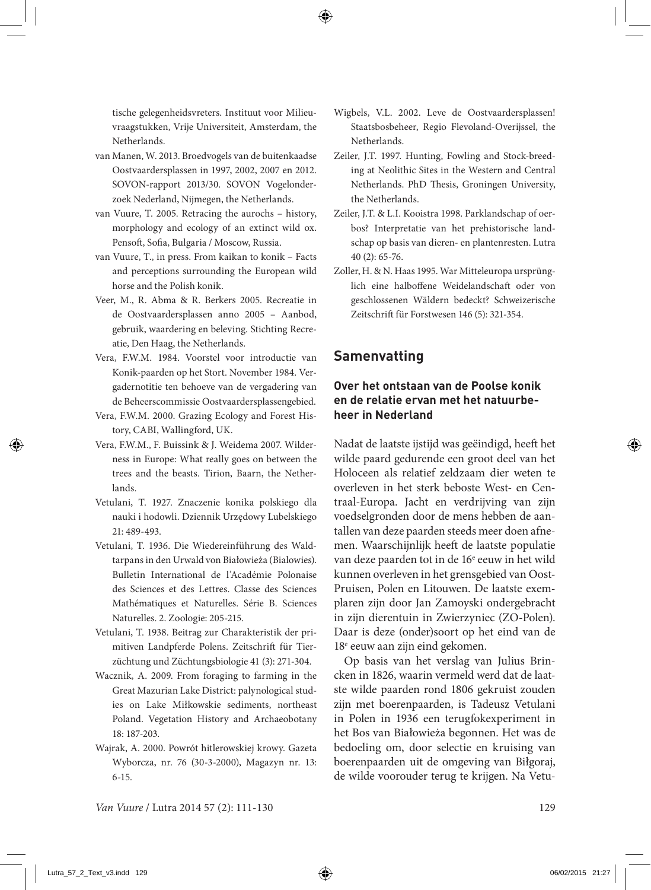tische gelegenheidsvreters. Instituut voor Milieuvraagstukken, Vrije Universiteit, Amsterdam, the Netherlands.

- van Manen, W. 2013. Broedvogels van de buitenkaadse Oostvaardersplassen in 1997, 2002, 2007 en 2012. SOVON-rapport 2013/30. SOVON Vogelonderzoek Nederland, Nijmegen, the Netherlands.
- van Vuure, T. 2005. Retracing the aurochs history, morphology and ecology of an extinct wild ox. Pensoft, Sofia, Bulgaria / Moscow, Russia.
- van Vuure, T., in press. From kaikan to konik Facts and perceptions surrounding the European wild horse and the Polish konik.
- Veer, M., R. Abma & R. Berkers 2005. Recreatie in de Oostvaardersplassen anno 2005 – Aanbod, gebruik, waardering en beleving. Stichting Recreatie, Den Haag, the Netherlands.
- Vera, F.W.M. 1984. Voorstel voor introductie van Konik-paarden op het Stort. November 1984. Vergadernotitie ten behoeve van de vergadering van de Beheerscommissie Oostvaardersplassengebied.
- Vera, F.W.M. 2000. Grazing Ecology and Forest History, CABI, Wallingford, UK.
- Vera, F.W.M., F. Buissink & J. Weidema 2007. Wilderness in Europe: What really goes on between the trees and the beasts. Tirion, Baarn, the Netherlands.
- Vetulani, T. 1927. Znaczenie konika polskiego dla nauki i hodowli. Dziennik Urzędowy Lubelskiego 21: 489-493.
- Vetulani, T. 1936. Die Wiedereinführung des Waldtarpans in den Urwald von Białowieża (Bialowies). Bulletin International de l'Académie Polonaise des Sciences et des Lettres. Classe des Sciences Mathématiques et Naturelles. Série B. Sciences Naturelles. 2. Zoologie: 205-215.
- Vetulani, T. 1938. Beitrag zur Charakteristik der primitiven Landpferde Polens. Zeitschrift für Tierzüchtung und Züchtungsbiologie 41 (3): 271-304.
- Wacznik, A. 2009. From foraging to farming in the Great Mazurian Lake District: palynological studies on Lake Miłkowskie sediments, northeast Poland. Vegetation History and Archaeobotany 18: 187-203.
- Wajrak, A. 2000. Powrót hitlerowskiej krowy. Gazeta Wyborcza, nr. 76 (30-3-2000), Magazyn nr. 13: 6-15.
- Wigbels, V.L. 2002. Leve de Oostvaardersplassen! Staatsbosbeheer, Regio Flevoland-Overijssel, the Netherlands.
- Zeiler, J.T. 1997. Hunting, Fowling and Stock-breeding at Neolithic Sites in the Western and Central Netherlands. PhD Thesis, Groningen University, the Netherlands.
- Zeiler, J.T. & L.I. Kooistra 1998. Parklandschap of oerbos? Interpretatie van het prehistorische landschap op basis van dieren- en plantenresten. Lutra 40 (2): 65-76.
- Zoller, H. & N. Haas 1995. War Mitteleuropa ursprünglich eine halboffene Weidelandschaft oder von geschlossenen Wäldern bedeckt? Schweizerische Zeitschrift für Forstwesen 146 (5): 321-354.

## **Samenvatting**

#### **Over het ontstaan van de Poolse konik en de relatie ervan met het natuurbeheer in Nederland**

Nadat de laatste ijstijd was geëindigd, heeft het wilde paard gedurende een groot deel van het Holoceen als relatief zeldzaam dier weten te overleven in het sterk beboste West- en Centraal-Europa. Jacht en verdrijving van zijn voedselgronden door de mens hebben de aantallen van deze paarden steeds meer doen afnemen. Waarschijnlijk heeft de laatste populatie van deze paarden tot in de 16<sup>e</sup> eeuw in het wild kunnen overleven in het grensgebied van Oost-Pruisen, Polen en Litouwen. De laatste exemplaren zijn door Jan Zamoyski ondergebracht in zijn dierentuin in Zwierzyniec (ZO-Polen). Daar is deze (onder)soort op het eind van de 18<sup>e</sup> eeuw aan zijn eind gekomen.

Op basis van het verslag van Julius Brincken in 1826, waarin vermeld werd dat de laatste wilde paarden rond 1806 gekruist zouden zijn met boerenpaarden, is Tadeusz Vetulani in Polen in 1936 een terugfokexperiment in het Bos van Białowieża begonnen. Het was de bedoeling om, door selectie en kruising van boerenpaarden uit de omgeving van Biłgoraj, de wilde voorouder terug te krijgen. Na Vetu